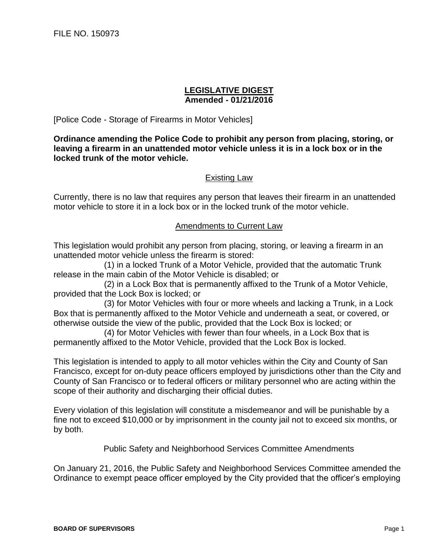## **LEGISLATIVE DIGEST Amended - 01/21/2016**

[Police Code - Storage of Firearms in Motor Vehicles]

**Ordinance amending the Police Code to prohibit any person from placing, storing, or leaving a firearm in an unattended motor vehicle unless it is in a lock box or in the locked trunk of the motor vehicle.**

## Existing Law

Currently, there is no law that requires any person that leaves their firearm in an unattended motor vehicle to store it in a lock box or in the locked trunk of the motor vehicle.

## Amendments to Current Law

This legislation would prohibit any person from placing, storing, or leaving a firearm in an unattended motor vehicle unless the firearm is stored:

(1) in a locked Trunk of a Motor Vehicle, provided that the automatic Trunk release in the main cabin of the Motor Vehicle is disabled; or

(2) in a Lock Box that is permanently affixed to the Trunk of a Motor Vehicle, provided that the Lock Box is locked; or

(3) for Motor Vehicles with four or more wheels and lacking a Trunk, in a Lock Box that is permanently affixed to the Motor Vehicle and underneath a seat, or covered, or otherwise outside the view of the public, provided that the Lock Box is locked; or

(4) for Motor Vehicles with fewer than four wheels, in a Lock Box that is permanently affixed to the Motor Vehicle, provided that the Lock Box is locked.

This legislation is intended to apply to all motor vehicles within the City and County of San Francisco, except for on-duty peace officers employed by jurisdictions other than the City and County of San Francisco or to federal officers or military personnel who are acting within the scope of their authority and discharging their official duties.

Every violation of this legislation will constitute a misdemeanor and will be punishable by a fine not to exceed \$10,000 or by imprisonment in the county jail not to exceed six months, or by both.

Public Safety and Neighborhood Services Committee Amendments

On January 21, 2016, the Public Safety and Neighborhood Services Committee amended the Ordinance to exempt peace officer employed by the City provided that the officer's employing